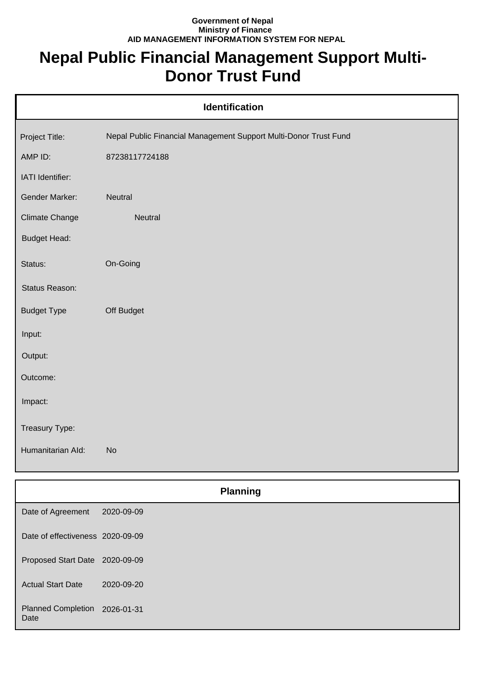## **Government of Nepal Ministry of Finance AID MANAGEMENT INFORMATION SYSTEM FOR NEPAL**

## **Nepal Public Financial Management Support Multi-Donor Trust Fund**

| <b>Identification</b> |                                                                  |  |
|-----------------------|------------------------------------------------------------------|--|
| Project Title:        | Nepal Public Financial Management Support Multi-Donor Trust Fund |  |
| AMP ID:               | 87238117724188                                                   |  |
| IATI Identifier:      |                                                                  |  |
| Gender Marker:        | Neutral                                                          |  |
| <b>Climate Change</b> | Neutral                                                          |  |
| <b>Budget Head:</b>   |                                                                  |  |
| Status:               | On-Going                                                         |  |
| Status Reason:        |                                                                  |  |
| <b>Budget Type</b>    | Off Budget                                                       |  |
| Input:                |                                                                  |  |
| Output:               |                                                                  |  |
| Outcome:              |                                                                  |  |
| Impact:               |                                                                  |  |
| Treasury Type:        |                                                                  |  |
| Humanitarian Ald:     | <b>No</b>                                                        |  |
|                       | <b>Planning</b>                                                  |  |

| Date of Agreement                     | 2020-09-09 |
|---------------------------------------|------------|
| Date of effectiveness 2020-09-09      |            |
| Proposed Start Date 2020-09-09        |            |
| <b>Actual Start Date</b>              | 2020-09-20 |
| Planned Completion 2026-01-31<br>Date |            |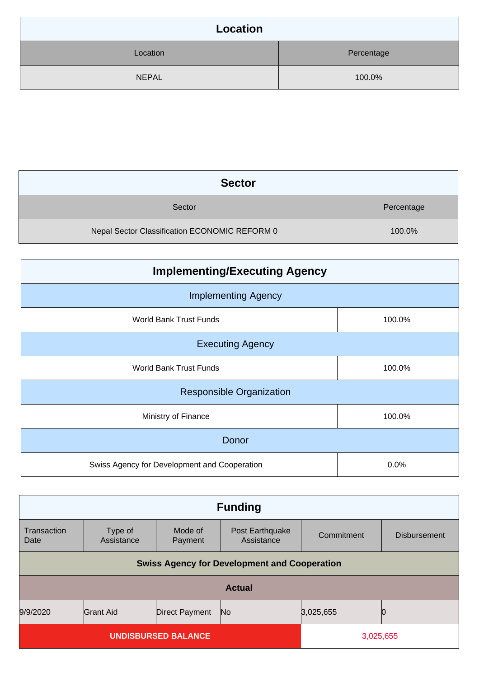| <b>Location</b> |            |
|-----------------|------------|
| Location        | Percentage |
| <b>NEPAL</b>    | 100.0%     |

| <b>Sector</b>                                 |            |
|-----------------------------------------------|------------|
| Sector                                        | Percentage |
| Nepal Sector Classification ECONOMIC REFORM 0 | 100.0%     |

| <b>Implementing/Executing Agency</b>         |        |  |
|----------------------------------------------|--------|--|
| <b>Implementing Agency</b>                   |        |  |
| World Bank Trust Funds                       | 100.0% |  |
| <b>Executing Agency</b>                      |        |  |
| World Bank Trust Funds                       | 100.0% |  |
| <b>Responsible Organization</b>              |        |  |
| Ministry of Finance                          | 100.0% |  |
| Donor                                        |        |  |
| Swiss Agency for Development and Cooperation | 0.0%   |  |

| <b>Funding</b>                                      |                       |                       |                               |            |                     |
|-----------------------------------------------------|-----------------------|-----------------------|-------------------------------|------------|---------------------|
| Transaction<br>Date                                 | Type of<br>Assistance | Mode of<br>Payment    | Post Earthquake<br>Assistance | Commitment | <b>Disbursement</b> |
| <b>Swiss Agency for Development and Cooperation</b> |                       |                       |                               |            |                     |
| <b>Actual</b>                                       |                       |                       |                               |            |                     |
| 9/9/2020                                            | <b>Grant Aid</b>      | <b>Direct Payment</b> | No                            | 3,025,655  | 0                   |
| <b>UNDISBURSED BALANCE</b>                          |                       |                       | 3,025,655                     |            |                     |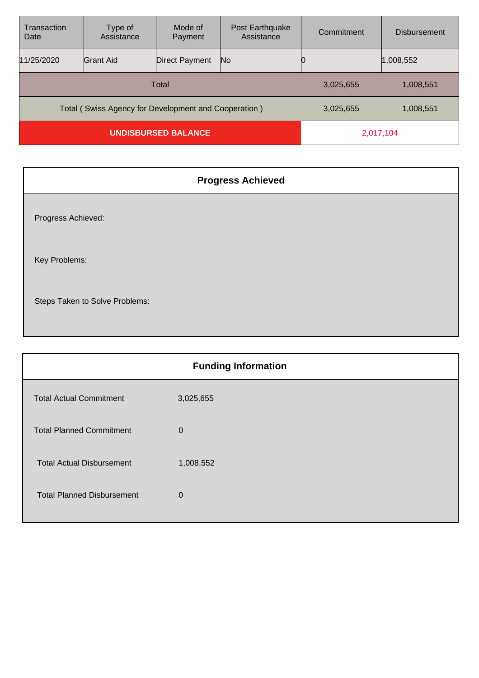| Transaction<br>Date                                  | Type of<br>Assistance | Mode of<br>Payment | Post Earthquake<br>Assistance | Commitment | <b>Disbursement</b> |
|------------------------------------------------------|-----------------------|--------------------|-------------------------------|------------|---------------------|
| 11/25/2020                                           | Grant Aid             | Direct Payment     | No.                           |            | 1,008,552           |
| Total                                                |                       |                    | 3,025,655                     | 1,008,551  |                     |
| Total (Swiss Agency for Development and Cooperation) |                       |                    | 3,025,655                     | 1,008,551  |                     |
| <b>UNDISBURSED BALANCE</b>                           |                       |                    | 2,017,104                     |            |                     |

| <b>Progress Achieved</b>       |
|--------------------------------|
| Progress Achieved:             |
| Key Problems:                  |
| Steps Taken to Solve Problems: |

|                                   | <b>Funding Information</b> |
|-----------------------------------|----------------------------|
| <b>Total Actual Commitment</b>    | 3,025,655                  |
| <b>Total Planned Commitment</b>   | $\mathbf 0$                |
| <b>Total Actual Disbursement</b>  | 1,008,552                  |
| <b>Total Planned Disbursement</b> | $\mathbf{0}$               |
|                                   |                            |